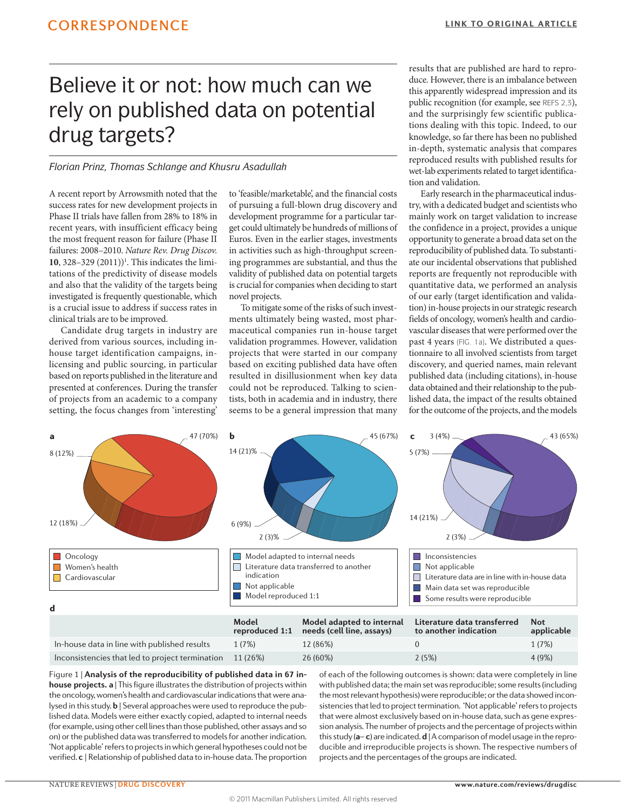# Believe it or not: how much can we rely on published data on potential drug targets?

## *Florian Prinz, Thomas Schlange and Khusru Asadullah*

A recent report by Arrowsmith noted that the success rates for new development projects in Phase II trials have fallen from 28% to 18% in recent years, with insufficient efficacy being the most frequent reason for failure (Phase II failures: 2008–2010. Nature Rev. Drug Discov. **10**, 328-329 (2011))<sup>1</sup>. This indicates the limitations of the predictivity of disease models and also that the validity of the targets being investigated is frequently questionable, which is a crucial issue to address if success rates in clinical trials are to be improved.

Candidate drug targets in industry are derived from various sources, including inhouse target identification campaigns, inlicensing and public sourcing, in particular based on reports published in the literature and presented at conferences. During the transfer of projects from an academic to a company setting, the focus changes from 'interesting' to 'feasible/marketable', and the financial costs of pursuing a full-blown drug discovery and development programme for a particular target could ultimately be hundreds of millions of Euros. Even in the earlier stages, investments in activities such as high-throughput screening programmes are substantial, and thus the validity of published data on potential targets is crucial for companies when deciding to start novel projects.

To mitigate some of the risks of such investments ultimately being wasted, most pharmaceutical companies run in-house target validation programmes. However, validation projects that were started in our company based on exciting published data have often resulted in disillusionment when key data could not be reproduced. Talking to scientists, both in academia and in industry, there seems to be a general impression that many

results that are published are hard to reproduce. However, there is an imbalance between this apparently widespread impression and its public recognition (for example, see REFS 2,3), and the surprisingly few scientific publications dealing with this topic. Indeed, to our knowledge, so far there has been no published in-depth, systematic analysis that compares reproduced results with published results for wet-lab experiments related to target identification and validation.

Early research in the pharmaceutical industry, with a dedicated budget and scientists who mainly work on target validation to increase the confidence in a project, provides a unique opportunity to generate a broad data set on the reproducibility of published data. To substantiate our incidental observations that published reports are frequently not reproducible with quantitative data, we performed an analysis of our early (target identification and validation) in-house projects in our strategic research fields of oncology, women's health and cardiovascular diseases that were performed over the past 4 years (FIG. 1a). We distributed a questionnaire to all involved scientists from target discovery, and queried names, main relevant published data (including citations), in-house data obtained and their relationship to the published data, the impact of the results obtained for the outcome of the projects, and the models



|                                                          |        | $I$ conced $I/I$ recus (centric, assumed | to another mancation | appu   |
|----------------------------------------------------------|--------|------------------------------------------|----------------------|--------|
| In-house data in line with published results             | 1 (7%) | 12 (86%)                                 |                      | 1 (7%) |
| Inconsistencies that led to project termination 11 (26%) |        | 26 (60%)                                 | 2(5%)                | 4 (9%) |
|                                                          |        |                                          |                      |        |

Figure 1 | **Analysis of the reproducibility of published data in 67 inhouse projects. a** | This figure illustrates the distribution of projects within the oncology, women's health and cardiovascular indications that were analysed in this study. **b** | Several approaches were used to reproduce the published data. Models were either exactly copied, adapted to internal needs (for example, using other cell lines than those published, other assays and so on) or the published data was transferred to models for another indication. 'Not applicable' refers to projects in which general hypotheses could not be verified. **c** | Relationship of published data to in-house data. The proportion of each of the following outcomes is shown: data were completely in line with published data; the main set was reproducible; some results (including the most relevant hypothesis) were reproducible; or the data showed inconsistencies that led to project termination. 'Not applicable' refers to projects that were almost exclusively based on in-house data, such as gene expression analysis. The number of projects and the percentage of projects within this study (**a**– **c**) are indicated. **d** | A comparison of model usage in the reproducible and irreproducible projects is shown. The respective numbers of projects and the percentages of the groups are indicated.